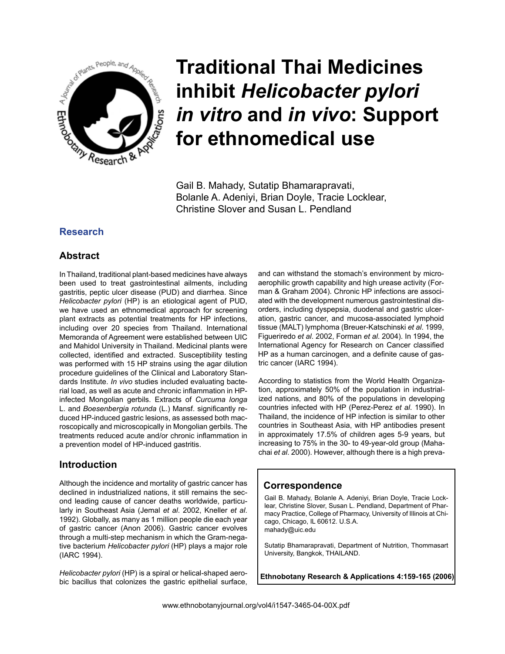

# **Traditional Thai Medicines inhibit** *Helicobacter pylori in vitro* **and** *in vivo***: Support for ethnomedical use**

Gail B. Mahady, Sutatip Bhamarapravati, Bolanle A. Adeniyi, Brian Doyle, Tracie Locklear, Christine Slover and Susan L. Pendland

## **Research**

## **Abstract**

In Thailand, traditional plant-based medicines have always been used to treat gastrointestinal ailments, including gastritis, peptic ulcer disease (PUD) and diarrhea. Since *Helicobacter pylori* (HP) is an etiological agent of PUD, we have used an ethnomedical approach for screening plant extracts as potential treatments for HP infections, including over 20 species from Thailand. International Memoranda of Agreement were established between UIC and Mahidol University in Thailand. Medicinal plants were collected, identified and extracted. Susceptibility testing was performed with 15 HP strains using the agar dilution procedure guidelines of the Clinical and Laboratory Standards Institute. *In vivo* studies included evaluating bacterial load, as well as acute and chronic inflammation in HPinfected Mongolian gerbils. Extracts of *Curcuma longa* L. and *Boesenbergia rotunda* (L.) Mansf. significantly reduced HP-induced gastric lesions, as assessed both macroscopically and microscopically in Mongolian gerbils. The treatments reduced acute and/or chronic inflammation in a prevention model of HP-induced gastritis.

## **Introduction**

Although the incidence and mortality of gastric cancer has declined in industrialized nations, it still remains the second leading cause of cancer deaths worldwide, particularly in Southeast Asia (Jemal *et al*. 2002, Kneller *et al*. 1992). Globally, as many as 1 million people die each year of gastric cancer (Anon 2006). Gastric cancer evolves through a multi-step mechanism in which the Gram-negative bacterium *Helicobacter pylori* (HP) plays a major role (IARC 1994).

*Helicobacter pylori* (HP) is a spiral or helical-shaped aerobic bacillus that colonizes the gastric epithelial surface, and can withstand the stomach's environment by microaerophilic growth capability and high urease activity (Forman & Graham 2004). Chronic HP infections are associated with the development numerous gastrointestinal disorders, including dyspepsia, duodenal and gastric ulceration, gastric cancer, and mucosa-associated lymphoid tissue (MALT) lymphoma (Breuer-Katschinski *et al*. 1999, Figueriredo *et al*. 2002, Forman *et al*. 2004). In 1994, the International Agency for Research on Cancer classified HP as a human carcinogen, and a definite cause of gastric cancer (IARC 1994).

According to statistics from the World Health Organization, approximately 50% of the population in industrialized nations, and 80% of the populations in developing countries infected with HP (Perez-Perez *et al*. 1990). In Thailand, the incidence of HP infection is similar to other countries in Southeast Asia, with HP antibodies present in approximately 17.5% of children ages 5-9 years, but increasing to 75% in the 30- to 49-year-old group (Mahachai *et al*. 2000). However, although there is a high preva-

## **Correspondence**

Gail B. Mahady, Bolanle A. Adeniyi, Brian Doyle, Tracie Locklear, Christine Slover, Susan L. Pendland, Department of Pharmacy Practice, College of Pharmacy, University of Illinois at Chicago, Chicago, IL 60612. U.S.A. mahady@uic.edu

Sutatip Bhamarapravati, Department of Nutrition, Thommasart University, Bangkok, THAILAND.

**Ethnobotany Research & Applications 4:159-165 (2006)**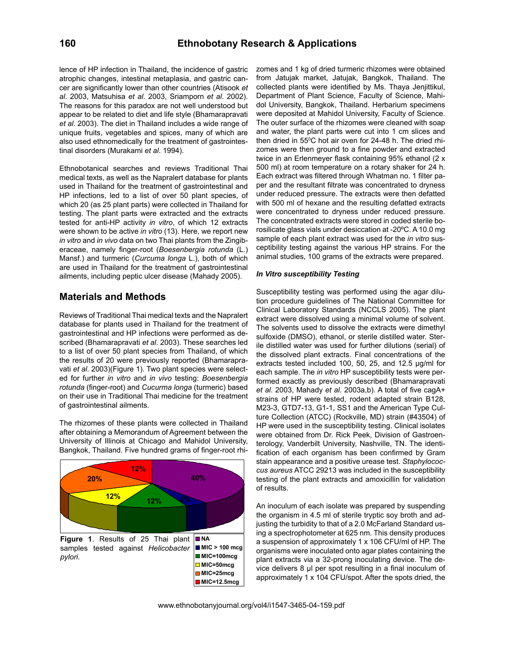lence of HP infection in Thailand, the incidence of gastric atrophic changes, intestinal metaplasia, and gastric cancer are significantly lower than other countries (Atisook *et al*. 2003, Matsuhisa *et al*. 2003, Sriamporn *et al*. 2002). The reasons for this paradox are not well understood but appear to be related to diet and life style (Bhamarapravati *et al*. 2003). The diet in Thailand includes a wide range of unique fruits, vegetables and spices, many of which are also used ethnomedically for the treatment of gastrointestinal disorders (Murakami *et al*. 1994).

Ethnobotanical searches and reviews Traditional Thai medical texts, as well as the Napralert database for plants used in Thailand for the treatment of gastrointestinal and HP infections, led to a list of over 50 plant species, of which 20 (as 25 plant parts) were collected in Thailand for testing. The plant parts were extracted and the extracts tested for anti-HP activity *in vitro*, of which 12 extracts were shown to be active *in vitro* (13). Here, we report new *in vitro* and *in vivo* data on two Thai plants from the Zingiberaceae, namely finger-root (*Boesenbergia rotunda* (L.) Mansf.) and turmeric (*Curcuma longa* L.), both of which are used in Thailand for the treatment of gastrointestinal ailments, including peptic ulcer disease (Mahady 2005).

## **Materials and Methods**

Reviews of Traditional Thai medical texts and the Napralert database for plants used in Thailand for the treatment of gastrointestinal and HP infections were performed as described (Bhamarapravati *et al*. 2003). These searches led to a list of over 50 plant species from Thailand, of which the results of 20 were previously reported (Bhamarapravati *et al*. 2003)(Figure 1). Two plant species were selected for further *in vitro* and *in vivo* testing: *Boesenbergia rotunda* (finger-root) and *Cucurma longa* (turmeric) based on their use in Traditional Thai medicine for the treatment of gastrointestinal ailments.

The rhizomes of these plants were collected in Thailand after obtaining a Memorandum of Agreement between the University of Illinois at Chicago and Mahidol University, Bangkok, Thailand. Five hundred grams of finger-root rhi-



**MIC=50mcg**

zomes and 1 kg of dried turmeric rhizomes were obtained from Jatujak market, Jatujak, Bangkok, Thailand. The collected plants were identified by Ms. Thaya Jenjittikul, Department of Plant Science, Faculty of Science, Mahidol University, Bangkok, Thailand. Herbarium specimens were deposited at Mahidol University, Faculty of Science. The outer surface of the rhizomes were cleaned with soap and water, the plant parts were cut into 1 cm slices and then dried in 55°C hot air oven for 24-48 h. The dried rhizomes were then ground to a fine powder and extracted twice in an Erlenmeyer flask containing 95% ethanol (2 x 500 ml) at room temperature on a rotary shaker for 24 h. Each extract was filtered through Whatman no. 1 filter paper and the resultant filtrate was concentrated to dryness under reduced pressure. The extracts were then defatted with 500 ml of hexane and the resulting defatted extracts were concentrated to dryness under reduced pressure. The concentrated extracts were stored in coded sterile borosilicate glass vials under desiccation at -20ºC. A 10.0 mg sample of each plant extract was used for the *in vitro* susceptibility testing against the various HP strains. For the animal studies, 100 grams of the extracts were prepared.

#### *In Vitro susceptibility Testing*

fication of each organism has been confirmed by Gram cus aureus ATCC 29213 was included in the susceptibility **MIC=100mcg** Susceptibility testing was performed using the agar dilution procedure guidelines of The National Committee for Clinical Laboratory Standards (NCCLS 2005). The plant extract were dissolved using a minimal volume of solvent. The solvents used to dissolve the extracts were dimethyl sulfoxide (DMSO), ethanol, or sterile distilled water. Sterile distilled water was used for further dilutions (serial) of the dissolved plant extracts. Final concentrations of the extracts tested included 100, 50, 25, and 12.5 µg/ml for each sample. The *in vitro* HP susceptibility tests were performed exactly as previously described (Bhamarapravati *et al*. 2003, Mahady *et al*. 2003a,b). A total of five cagA+ strains of HP were tested, rodent adapted strain B128, M23-3, GTD7-13, G1-1, SS1 and the American Type Culture Collection (ATCC) (Rockville, MD) strain (#43504) of HP were used in the susceptibility testing. Clinical isolates were obtained from Dr. Rick Peek, Division of Gastroenterology, Vanderbilt University, Nashville, TN. The identistain appearance and a positive urease test. *Staphylococ*testing of the plant extracts and amoxicillin for validation of results.

An inoculum of each isolate was prepared by suspending<br>the experiencies in 4.5 ml of oterils trupties are brath and adjusting the turbidity to that of a 2.0 McFarland Standard us-<br>ips a speatraphotomoter of 625 pm. This density produces **NA**<br>MIC > 100 mcg a suspension of approximately 1 x 106 CFU/ml of HP. The<br>crassisms were inoculated onto agar plates containing the the organism in 4.5 ml of sterile tryptic soy broth and ading a spectrophotometer at 625 nm. This density produces organisms were inoculated onto agar plates containing the plant extracts via a 32-prong inoculating device. The device delivers 8 µl per spot resulting in a final inoculum of approximately 1 x 104 CFU/spot. After the spots dried, the

www.ethnobotanyjournal.org/vol4/i1547-3465-04-159.pdf

**MIC=25mcg MIC=12.5mcg**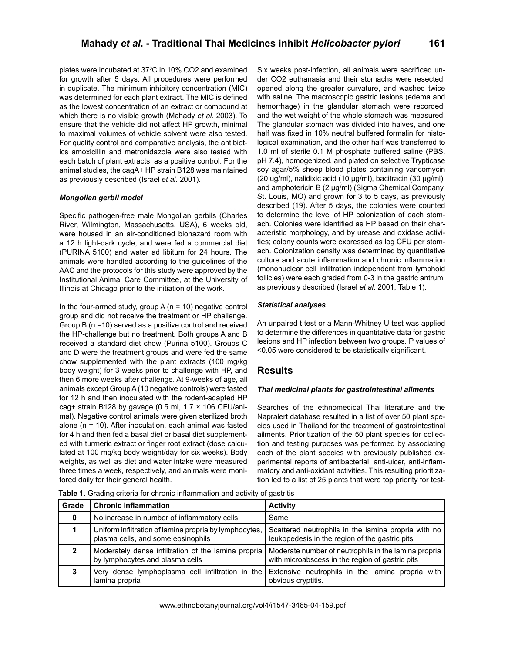plates were incubated at 37°C in 10% CO2 and examined for growth after 5 days. All procedures were performed in duplicate. The minimum inhibitory concentration (MIC) was determined for each plant extract. The MIC is defined as the lowest concentration of an extract or compound at which there is no visible growth (Mahady *et al*. 2003). To ensure that the vehicle did not affect HP growth, minimal to maximal volumes of vehicle solvent were also tested. For quality control and comparative analysis, the antibiotics amoxicillin and metronidazole were also tested with each batch of plant extracts, as a positive control. For the animal studies, the cagA+ HP strain B128 was maintained as previously described (Israel *et al*. 2001).

#### *Mongolian gerbil model*

Specific pathogen-free male Mongolian gerbils (Charles River, Wilmington, Massachusetts, USA), 6 weeks old, were housed in an air-conditioned biohazard room with a 12 h light-dark cycle, and were fed a commercial diet (PURINA 5100) and water ad libitum for 24 hours. The animals were handled according to the guidelines of the AAC and the protocols for this study were approved by the Institutional Animal Care Committee, at the University of Illinois at Chicago prior to the initiation of the work.

In the four-armed study, group  $A(n = 10)$  negative control group and did not receive the treatment or HP challenge. Group B (n =10) served as a positive control and received the HP-challenge but no treatment. Both groups A and B received a standard diet chow (Purina 5100). Groups C and D were the treatment groups and were fed the same chow supplemented with the plant extracts (100 mg/kg body weight) for 3 weeks prior to challenge with HP, and then 6 more weeks after challenge. At 9-weeks of age, all animals except Group A (10 negative controls) were fasted for 12 h and then inoculated with the rodent-adapted HP cag+ strain B128 by gavage (0.5 ml,  $1.7 \times 106$  CFU/animal). Negative control animals were given sterilized broth alone (n = 10). After inoculation, each animal was fasted for 4 h and then fed a basal diet or basal diet supplemented with turmeric extract or finger root extract (dose calculated at 100 mg/kg body weight/day for six weeks). Body weights, as well as diet and water intake were measured three times a week, respectively, and animals were monitored daily for their general health.

Six weeks post-infection, all animals were sacrificed under CO2 euthanasia and their stomachs were resected, opened along the greater curvature, and washed twice with saline. The macroscopic gastric lesions (edema and hemorrhage) in the glandular stomach were recorded, and the wet weight of the whole stomach was measured. The glandular stomach was divided into halves, and one half was fixed in 10% neutral buffered formalin for histological examination, and the other half was transferred to 1.0 ml of sterile 0.1 M phosphate buffered saline (PBS, pH 7.4), homogenized, and plated on selective Trypticase soy agar/5% sheep blood plates containing vancomycin (20 ug/ml), nalidixic acid (10 µg/ml), bacitracin (30 µg/ml), and amphotericin B (2 µg/ml) (Sigma Chemical Company, St. Louis, MO) and grown for 3 to 5 days, as previously described (19). After 5 days, the colonies were counted to determine the level of HP colonization of each stomach. Colonies were identified as HP based on their characteristic morphology, and by urease and oxidase activities; colony counts were expressed as log CFU per stomach. Colonization density was determined by quantitative culture and acute inflammation and chronic inflammation (mononuclear cell infiltration independent from lymphoid follicles) were each graded from 0-3 in the gastric antrum, as previously described (Israel *et al*. 2001; Table 1).

#### *Statistical analyses*

An unpaired t test or a Mann-Whitney U test was applied to determine the differences in quantitative data for gastric lesions and HP infection between two groups. P values of <0.05 were considered to be statistically significant.

## **Results**

#### *Thai medicinal plants for gastrointestinal ailments*

Searches of the ethnomedical Thai literature and the Napralert database resulted in a list of over 50 plant species used in Thailand for the treatment of gastrointestinal ailments. Prioritization of the 50 plant species for collection and testing purposes was performed by associating each of the plant species with previously published experimental reports of antibacterial, anti-ulcer, anti-inflammatory and anti-oxidant activities. This resulting prioritization led to a list of 25 plants that were top priority for test-

**Table 1**. Grading criteria for chronic inflammation and activity of gastritis

| Grade | <b>Chronic inflammation</b>                                                                                                                                                                       | <b>Activity</b>                                                                                       |  |  |
|-------|---------------------------------------------------------------------------------------------------------------------------------------------------------------------------------------------------|-------------------------------------------------------------------------------------------------------|--|--|
| 0     | No increase in number of inflammatory cells                                                                                                                                                       | Same                                                                                                  |  |  |
|       | Uniform infiltration of lamina propria by lymphocytes,<br>plasma cells, and some eosinophils                                                                                                      | Scattered neutrophils in the lamina propria with no<br>leukopedesis in the region of the gastric pits |  |  |
| 2     | Moderately dense infiltration of the lamina propria<br>Moderate number of neutrophils in the lamina propria<br>by lymphocytes and plasma cells<br>with microabscess in the region of gastric pits |                                                                                                       |  |  |
|       | Very dense lymphoplasma cell infiltration in the<br>lamina propria                                                                                                                                | Extensive neutrophils in the lamina propria with<br>obvious cryptitis.                                |  |  |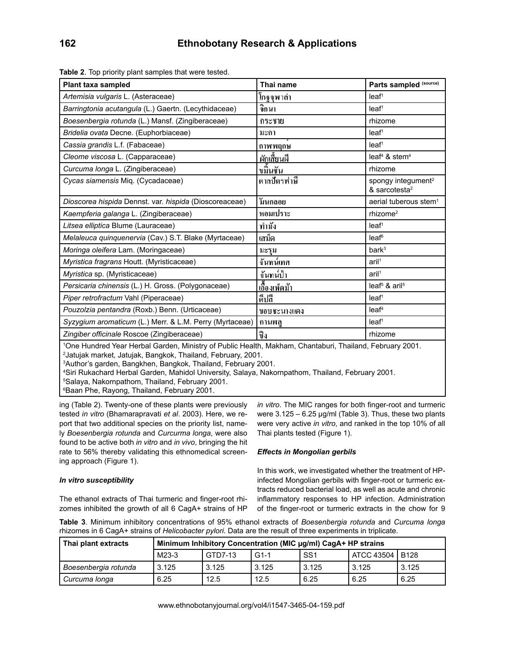| Plant taxa sampled                                                                                                                                                                                                                                                                                                                                                                                                                                                                               | Thai name            | Parts sampled (source)                                      |  |  |
|--------------------------------------------------------------------------------------------------------------------------------------------------------------------------------------------------------------------------------------------------------------------------------------------------------------------------------------------------------------------------------------------------------------------------------------------------------------------------------------------------|----------------------|-------------------------------------------------------------|--|--|
| Artemisia vulgaris L. (Asteraceae)                                                                                                                                                                                                                                                                                                                                                                                                                                                               |                      | leaf <sup>1</sup>                                           |  |  |
|                                                                                                                                                                                                                                                                                                                                                                                                                                                                                                  | โกฐจูพาลำ            |                                                             |  |  |
| Barringtonia acutangula (L.) Gaertn. (Lecythidaceae)                                                                                                                                                                                                                                                                                                                                                                                                                                             | จิกนา                | leaf <sup>1</sup>                                           |  |  |
| Boesenbergia rotunda (L.) Mansf. (Zingiberaceae)                                                                                                                                                                                                                                                                                                                                                                                                                                                 | กระชาย               | rhizome                                                     |  |  |
| Bridelia ovata Decne. (Euphorbiaceae)                                                                                                                                                                                                                                                                                                                                                                                                                                                            | มะกา                 | leaf <sup>1</sup>                                           |  |  |
| Cassia grandis L.f. (Fabaceae)                                                                                                                                                                                                                                                                                                                                                                                                                                                                   | กาพพฤกษ              | leaf <sup>1</sup>                                           |  |  |
| Cleome viscosa L. (Capparaceae)                                                                                                                                                                                                                                                                                                                                                                                                                                                                  | ผักเสี้ยนผื          | leaf <sup>4</sup> & stem <sup>4</sup>                       |  |  |
| Curcuma longa L. (Zingiberaceae)                                                                                                                                                                                                                                                                                                                                                                                                                                                                 | บมิ้น <u>ชัน</u>     | rhizome                                                     |  |  |
| Cycas siamensis Mig. (Cycadaceae)                                                                                                                                                                                                                                                                                                                                                                                                                                                                | ตาลปัตรฟาษี          | spongy integument <sup>2</sup><br>& sarcotesta <sup>2</sup> |  |  |
| Dioscorea hispida Dennst. var. hispida (Dioscoreaceae)                                                                                                                                                                                                                                                                                                                                                                                                                                           | วันกลอย              | aerial tuberous stem <sup>1</sup>                           |  |  |
| Kaempferia galanga L. (Zingiberaceae)                                                                                                                                                                                                                                                                                                                                                                                                                                                            | หอมเปราะ             | rhizome <sup>2</sup>                                        |  |  |
| Litsea elliptica Blume (Lauraceae)                                                                                                                                                                                                                                                                                                                                                                                                                                                               | ทำมัง                | leaf <sup>1</sup>                                           |  |  |
| Melaleuca quinquenervia (Cav.) S.T. Blake (Myrtaceae)                                                                                                                                                                                                                                                                                                                                                                                                                                            | เสม็ด                | leaf <sup>6</sup>                                           |  |  |
| Moringa oleifera Lam. (Moringaceae)                                                                                                                                                                                                                                                                                                                                                                                                                                                              | มะรุม                | bark <sup>3</sup>                                           |  |  |
| Myristica fragrans Houtt. (Myristicaceae)                                                                                                                                                                                                                                                                                                                                                                                                                                                        | จันทน์เทศ            | ari <sup>1</sup>                                            |  |  |
| <i>Myristica sp. (Myristicaceae)</i>                                                                                                                                                                                                                                                                                                                                                                                                                                                             | จันทน์ป่า            | aril <sup>1</sup>                                           |  |  |
| Persicaria chinensis (L.) H. Gross. (Polygonaceae)                                                                                                                                                                                                                                                                                                                                                                                                                                               | <u>เอื้องเพ็ดม้า</u> | leaf <sup>5</sup> & aril <sup>5</sup>                       |  |  |
| Piper retrofractum Vahl (Piperaceae)                                                                                                                                                                                                                                                                                                                                                                                                                                                             | ดีปลี                | leaf <sup>1</sup>                                           |  |  |
| Pouzolzia pentandra (Roxb.) Benn. (Urticaceae)                                                                                                                                                                                                                                                                                                                                                                                                                                                   | ขอบชะนางแดง          | leaf <sup>4</sup>                                           |  |  |
| Syzygium aromaticum (L.) Merr. & L.M. Perry (Myrtaceae)                                                                                                                                                                                                                                                                                                                                                                                                                                          | กานพลู               | leaf <sup>1</sup>                                           |  |  |
| Zingiber officinale Roscoe (Zingiberaceae)                                                                                                                                                                                                                                                                                                                                                                                                                                                       | ปิง                  | rhizome                                                     |  |  |
| 1One Hundred Year Herbal Garden, Ministry of Public Health, Makham, Chantaburi, Thailand, February 2001.<br><sup>2</sup> Jatujak market, Jatujak, Bangkok, Thailand, February, 2001.<br><sup>3</sup> Author's garden, Bangkhen, Bangkok, Thailand, February 2001.<br>4Siri Rukachard Herbal Garden, Mahidol University, Salaya, Nakornpathom, Thailand, February 2001.<br><sup>5</sup> Salaya, Nakornpathom, Thailand, February 2001.<br><sup>6</sup> Baan Phe, Rayong, Thailand, February 2001. |                      |                                                             |  |  |

**Table 2**. Top priority plant samples that were tested.

ing (Table 2). Twenty-one of these plants were previously tested *in vitro* (Bhamarapravati *et al*. 2003). Here, we report that two additional species on the priority list, namely *Boesenbergia rotunda* and *Curcurma longa*, were also found to be active both *in vitro* and *in vivo*, bringing the hit rate to 56% thereby validating this ethnomedical screening approach (Figure 1).

#### *In vitro susceptibility*

The ethanol extracts of Thai turmeric and finger-root rhizomes inhibited the growth of all 6 CagA+ strains of HP *in vitro*. The MIC ranges for both finger-root and turmeric were 3.125 – 6.25 μg/ml (Table 3). Thus, these two plants were very active *in vitro*, and ranked in the top 10% of all Thai plants tested (Figure 1).

#### *Effects in Mongolian gerbils*

In this work, we investigated whether the treatment of HPinfected Mongolian gerbils with finger-root or turmeric extracts reduced bacterial load, as well as acute and chronic inflammatory responses to HP infection. Administration of the finger-root or turmeric extracts in the chow for 9

**Table 3**. Minimum inhibitory concentrations of 95% ethanol extracts of *Boesenbergia rotunda* and *Curcuma longa*  rhizomes in 6 CagA+ strains of *Helicobacter pylori*. Data are the result of three experiments in triplicate.

| Thai plant extracts  | Minimum Inhibitory Concentration (MIC µg/ml) CagA+ HP strains |         |        |                 |                   |       |
|----------------------|---------------------------------------------------------------|---------|--------|-----------------|-------------------|-------|
|                      | M23-3                                                         | GTD7-13 | $G1-1$ | SS <sub>1</sub> | ATCC 43504   B128 |       |
| Boesenbergia rotunda | 3.125                                                         | 3.125   | 3.125  | 3.125           | 3.125             | 3.125 |
| Curcuma longa        | 6.25                                                          | 12.5    | 12.5   | 6.25            | 6.25              | 6.25  |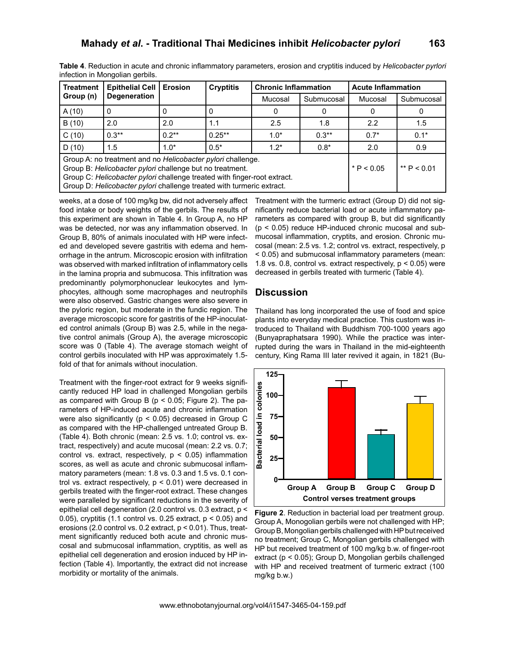|                                 | Table 4. Reduction in acute and chronic inflammatory parameters, erosion and cryptitis induced by Helicobacter pyrlori |  |  |
|---------------------------------|------------------------------------------------------------------------------------------------------------------------|--|--|
| infection in Mongolian gerbils. |                                                                                                                        |  |  |

| <b>Treatment</b>                                                                                                                                                                                                                                                             | <b>Epithelial Cell</b><br><b>Degeneration</b> | <b>Erosion</b> | <b>Cryptitis</b> | <b>Chronic Inflammation</b> |              | <b>Acute Inflammation</b> |            |
|------------------------------------------------------------------------------------------------------------------------------------------------------------------------------------------------------------------------------------------------------------------------------|-----------------------------------------------|----------------|------------------|-----------------------------|--------------|---------------------------|------------|
| Group (n)                                                                                                                                                                                                                                                                    |                                               |                |                  | Mucosal                     | Submucosal   | Mucosal                   | Submucosal |
| A(10)                                                                                                                                                                                                                                                                        | O                                             | 0              |                  |                             |              | 0                         |            |
| B(10)                                                                                                                                                                                                                                                                        | 2.0                                           | 2.0            | 1.1              | 2.5                         | 1.8          | 2.2                       | 1.5        |
| C(10)                                                                                                                                                                                                                                                                        | $0.3**$                                       | $0.2**$        | $0.25**$         | $1.0*$                      | $0.3**$      | $0.7*$                    | $0.1*$     |
| D(10)                                                                                                                                                                                                                                                                        | 1.5                                           | $1.0*$         | $0.5*$           | $1.2*$                      | $0.8*$       | 2.0                       | 0.9        |
| Group A: no treatment and no Helicobacter pylori challenge.<br>Group B: Helicobacter pylori challenge but no treatment.<br>Group C: Helicobacter pylori challenge treated with finger-root extract.<br>Group D: Helicobacter pylori challenge treated with turmeric extract. |                                               |                |                  |                             | * $P < 0.05$ | ** $P < 0.01$             |            |

weeks, at a dose of 100 mg/kg bw, did not adversely affect food intake or body weights of the gerbils. The results of this experiment are shown in Table 4. In Group A, no HP was be detected, nor was any inflammation observed. In Group B, 80% of animals inoculated with HP were infected and developed severe gastritis with edema and hemorrhage in the antrum. Microscopic erosion with infiltration was observed with marked infiltration of inflammatory cells in the lamina propria and submucosa. This infiltration was predominantly polymorphonuclear leukocytes and lymphocytes, although some macrophages and neutrophils were also observed. Gastric changes were also severe in the pyloric region, but moderate in the fundic region. The average microscopic score for gastritis of the HP-inoculated control animals (Group B) was 2.5, while in the negative control animals (Group A), the average microscopic score was 0 (Table 4). The average stomach weight of control gerbils inoculated with HP was approximately 1.5 fold of that for animals without inoculation.

Treatment with the finger-root extract for 9 weeks significantly reduced HP load in challenged Mongolian gerbils as compared with Group B ( $p < 0.05$ ; Figure 2). The parameters of HP-induced acute and chronic inflammation were also significantly (p < 0.05) decreased in Group C as compared with the HP-challenged untreated Group B. (Table 4). Both chronic (mean: 2.5 vs. 1.0; control vs. extract, respectively) and acute mucosal (mean: 2.2 vs. 0.7; control vs. extract, respectively,  $p < 0.05$ ) inflammation scores, as well as acute and chronic submucosal inflammatory parameters (mean: 1.8 vs. 0.3 and 1.5 vs. 0.1 control vs. extract respectively,  $p < 0.01$ ) were decreased in gerbils treated with the finger-root extract. These changes were paralleled by significant reductions in the severity of epithelial cell degeneration (2.0 control vs. 0.3 extract, p < 0.05), cryptitis (1.1 control vs. 0.25 extract,  $p < 0.05$ ) and erosions (2.0 control vs. 0.2 extract, p < 0.01). Thus, treatment significantly reduced both acute and chronic muscosal and submucosal inflammation, cryptitis, as well as epithelial cell degeneration and erosion induced by HP infection (Table 4). Importantly, the extract did not increase morbidity or mortality of the animals.

Treatment with the turmeric extract (Group D) did not significantly reduce bacterial load or acute inflammatory parameters as compared with group B, but did significantly (p < 0.05) reduce HP-induced chronic mucosal and submucosal inflammation, cryptits, and erosion. Chronic mucosal (mean: 2.5 vs. 1.2; control vs. extract, respectively, p < 0.05) and submucosal inflammatory parameters (mean: 1.8 vs. 0.8, control vs. extract respectively, p < 0.05) were decreased in gerbils treated with turmeric (Table 4).

#### **Discussion**

Thailand has long incorporated the use of food and spice plants into everyday medical practice. This custom was introduced to Thailand with Buddhism 700-1000 years ago (Bunyapraphatsara 1990). While the practice was interrupted during the wars in Thailand in the mid-eighteenth century, King Rama III later revived it again, in 1821 (Bu-



**Figure 2**. Reduction in bacterial load per treatment group. Group A, Monogolian gerbils were not challenged with HP; Group B, Mongolian gerbils challenged with HP but received no treatment; Group C, Mongolian gerbils challenged with HP but received treatment of 100 mg/kg b.w. of finger-root extract (p < 0.05); Group D, Mongolian gerbils challenged with HP and received treatment of turmeric extract (100 mg/kg b.w.)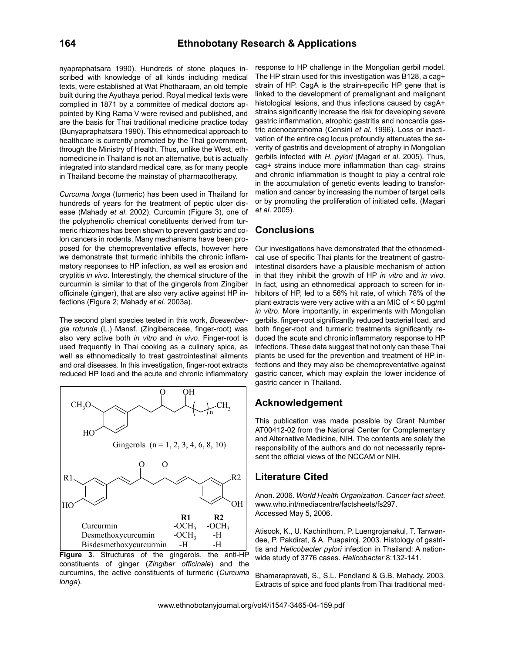nyapraphatsara 1990). Hundreds of stone plaques inscribed with knowledge of all kinds including medical texts, were established at Wat Photharaam, an old temple built during the Ayuthaya period. Royal medical texts were complied in 1871 by a committee of medical doctors appointed by King Rama V were revised and published, and are the basis for Thai traditional medicine practice today (Bunyapraphatsara 1990). This ethnomedical approach to healthcare is currently promoted by the Thai government, through the Ministry of Health. Thus, unlike the West, ethnomedicine in Thailand is not an alternative, but is actually integrated into standard medical care, as for many people in Thailand become the mainstay of pharmacotherapy.

*Curcuma longa* (turmeric) has been used in Thailand for hundreds of years for the treatment of peptic ulcer disease (Mahady *et al*. 2002). Curcumin (Figure 3), one of the polyphenolic chemical constituents derived from turmeric rhizomes has been shown to prevent gastric and colon cancers in rodents. Many mechanisms have been proposed for the chemopreventative effects, however here we demonstrate that turmeric inhibits the chronic inflammatory responses to HP infection, as well as erosion and cryptitis *in vivo*. Interestingly, the chemical structure of the curcurmin is similar to that of the gingerols from Zingiber officinale (ginger), that are also very active against HP infections (Figure 2; Mahady *et al*. 2003a).

The second plant species tested in this work, *Boesenbergia rotunda* (L.) Mansf. (Zingiberaceae, finger-root) was also very active both *in vitro* and *in vivo*. Finger-root is used frequently in Thai cooking as a culinary spice, as well as ethnomedically to treat gastrointestinal ailments and oral diseases. In this investigation, finger-root extracts reduced HP load and the acute and chronic inflammatory



**Figure 3**. Structures of the gingerols, the anti-HP constituents of ginger (*Zingiber officinale*) and the curcumins, the active constituents of turmeric (*Curcuma longa*).

response to HP challenge in the Mongolian gerbil model. The HP strain used for this investigation was B128, a cag+ strain of HP. CagA is the strain-specific HP gene that is linked to the development of premalignant and malignant histological lesions, and thus infections caused by cagA+ strains significantly increase the risk for developing severe gastric inflammation, atrophic gastritis and noncardia gastric adenocarcinoma (Censini *et al*. 1996). Loss or inactivation of the entire cag locus profoundly attenuates the severity of gastritis and development of atrophy in Mongolian gerbils infected with *H. pylori* (Magari *et al*. 2005). Thus, cag+ strains induce more inflammation than cag- strains and chronic inflammation is thought to play a central role in the accumulation of genetic events leading to transformation and cancer by increasing the number of target cells or by promoting the proliferation of initiated cells. (Magari *et al*. 2005).

#### **Conclusions**

Our investigations have demonstrated that the ethnomedical use of specific Thai plants for the treatment of gastrointestinal disorders have a plausible mechanism of action in that they inhibit the growth of HP *in vitro* and *in vivo*. In fact, using an ethnomedical approach to screen for inhibitors of HP, led to a 56% hit rate, of which 78% of the plant extracts were very active with a an MIC of < 50 μg/ml *in vitro*. More importantly, in experiments with Mongolian gerbils, finger-root significantly reduced bacterial load, and both finger-root and turmeric treatments significantly reduced the acute and chronic inflammatory response to HP infections. These data suggest that not only can these Thai plants be used for the prevention and treatment of HP infections and they may also be chemopreventative against gastric cancer, which may explain the lower incidence of gastric cancer in Thailand.

## **Acknowledgement**

This publication was made possible by Grant Number AT00412-02 from the National Center for Complementary and Alternative Medicine, NIH. The contents are solely the responsibility of the authors and do not necessarily represent the official views of the NCCAM or NIH.

## **Literature Cited**

Anon. 2006. *World Health Organization. Cancer fact sheet*. www.who.int/mediacentre/factsheets/fs297. Accessed May 5, 2006.

Atisook, K., U. Kachinthorn, P. Luengrojanakul, T. Tanwandee, P. Pakdirat, & A. Puapairoj. 2003. Histology of gastritis and *Helicobacter pylori* infection in Thailand: A nationwide study of 3776 cases. *Helicobacter* 8:132-141.

Bhamarapravati, S., S.L. Pendland & G.B. Mahady. 2003. Extracts of spice and food plants from Thai traditional med-